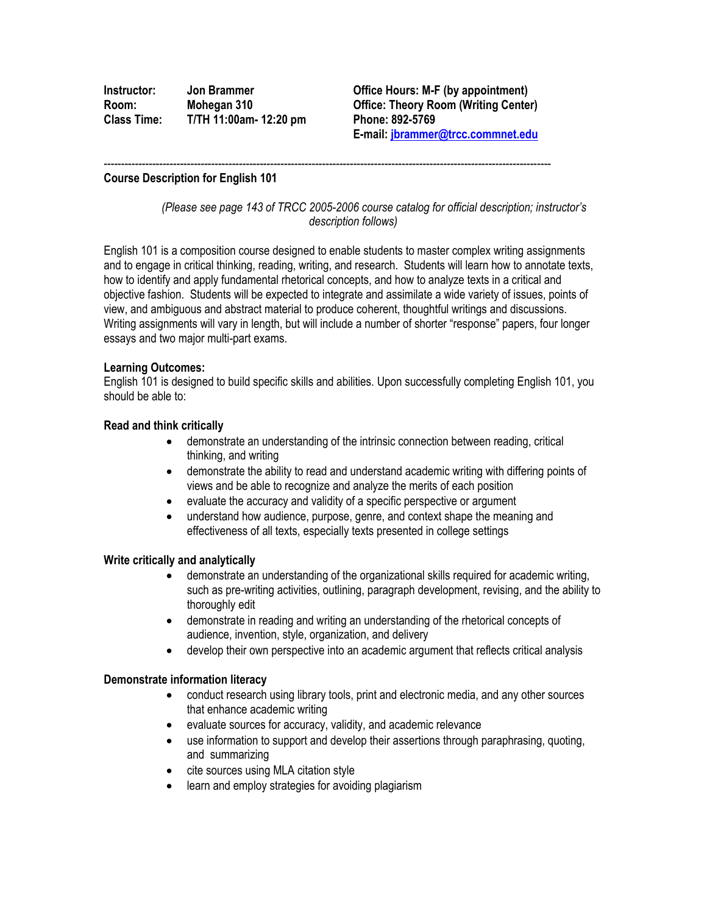| Instructor: | Jon Brammer            |
|-------------|------------------------|
| Room:       | Mohegan 310            |
| Class Time: | T/TH 11:00am- 12:20 pm |

**Office Hours: M-F (by appointment) Room** (Writing Center) **Class Time: T/TH 11:00am- 12:20 pm Phone: 892-5769 E-mail[: jbrammer@trcc.commnet.edu](mailto:jbrammer@trcc.commnet.edu)**

### **Course Description for English 101**

*(Please see page 143 of TRCC 2005-2006 course catalog for official description; instructor's description follows)*

English 101 is a composition course designed to enable students to master complex writing assignments and to engage in critical thinking, reading, writing, and research. Students will learn how to annotate texts, how to identify and apply fundamental rhetorical concepts, and how to analyze texts in a critical and objective fashion. Students will be expected to integrate and assimilate a wide variety of issues, points of view, and ambiguous and abstract material to produce coherent, thoughtful writings and discussions. Writing assignments will vary in length, but will include a number of shorter "response" papers, four longer essays and two major multi-part exams.

---------------------------------------------------------------------------------------------------------------------------------

### **Learning Outcomes:**

English 101 is designed to build specific skills and abilities. Upon successfully completing English 101, you should be able to:

### **Read and think critically**

- demonstrate an understanding of the intrinsic connection between reading, critical thinking, and writing
- demonstrate the ability to read and understand academic writing with differing points of views and be able to recognize and analyze the merits of each position
- evaluate the accuracy and validity of a specific perspective or argument
- understand how audience, purpose, genre, and context shape the meaning and effectiveness of all texts, especially texts presented in college settings

#### **Write critically and analytically**

- demonstrate an understanding of the organizational skills required for academic writing, such as pre-writing activities, outlining, paragraph development, revising, and the ability to thoroughly edit
- demonstrate in reading and writing an understanding of the rhetorical concepts of audience, invention, style, organization, and delivery
- develop their own perspective into an academic argument that reflects critical analysis

# **Demonstrate information literacy**

- conduct research using library tools, print and electronic media, and any other sources that enhance academic writing
- evaluate sources for accuracy, validity, and academic relevance
- use information to support and develop their assertions through paraphrasing, quoting, and summarizing
- cite sources using MLA citation style
- learn and employ strategies for avoiding plagiarism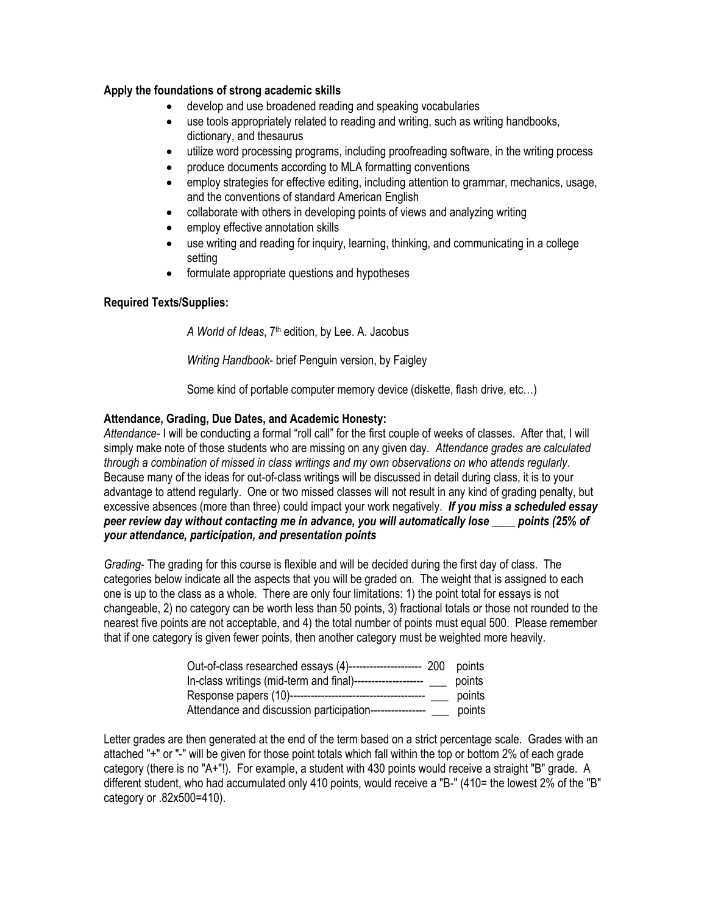# **Apply the foundations of strong academic skills**

- develop and use broadened reading and speaking vocabularies
- use tools appropriately related to reading and writing, such as writing handbooks, dictionary, and thesaurus
- utilize word processing programs, including proofreading software, in the writing process
- produce documents according to MLA formatting conventions
- employ strategies for effective editing, including attention to grammar, mechanics, usage, and the conventions of standard American English
- collaborate with others in developing points of views and analyzing writing
- employ effective annotation skills
- use writing and reading for inquiry, learning, thinking, and communicating in a college setting
- formulate appropriate questions and hypotheses

# **Required Texts/Supplies:**

*A World of Ideas*, 7th edition, by Lee. A. Jacobus

*Writing Handbook*- brief Penguin version, by Faigley

Some kind of portable computer memory device (diskette, flash drive, etc…)

# **Attendance, Grading, Due Dates, and Academic Honesty:**

*Attendance-* I will be conducting a formal "roll call" for the first couple of weeks of classes. After that, I will simply make note of those students who are missing on any given day*. Attendance grades are calculated through a combination of missed in class writings and my own observations on who attends regularly*. Because many of the ideas for out-of-class writings will be discussed in detail during class, it is to your advantage to attend regularly. One or two missed classes will not result in any kind of grading penalty, but excessive absences (more than three) could impact your work negatively. *If you miss a scheduled essay peer review day without contacting me in advance, you will automatically lose \_\_\_\_ points (25% of your attendance, participation, and presentation points*

*Grading*- The grading for this course is flexible and will be decided during the first day of class. The categories below indicate all the aspects that you will be graded on. The weight that is assigned to each one is up to the class as a whole. There are only four limitations: 1) the point total for essays is not changeable, 2) no category can be worth less than 50 points, 3) fractional totals or those not rounded to the nearest five points are not acceptable, and 4) the total number of points must equal 500. Please remember that if one category is given fewer points, then another category must be weighted more heavily.

| Out-of-class researched essays (4)---      | -200 | points |
|--------------------------------------------|------|--------|
| In-class writings (mid-term and final)---  |      | points |
| Response papers (10)--------------         |      | points |
| Attendance and discussion participation--- |      | points |

Letter grades are then generated at the end of the term based on a strict percentage scale. Grades with an attached "+" or "-" will be given for those point totals which fall within the top or bottom 2% of each grade category (there is no "A+"!). For example, a student with 430 points would receive a straight "B" grade. A different student, who had accumulated only 410 points, would receive a "B-" (410= the lowest 2% of the "B" category or .82x500=410).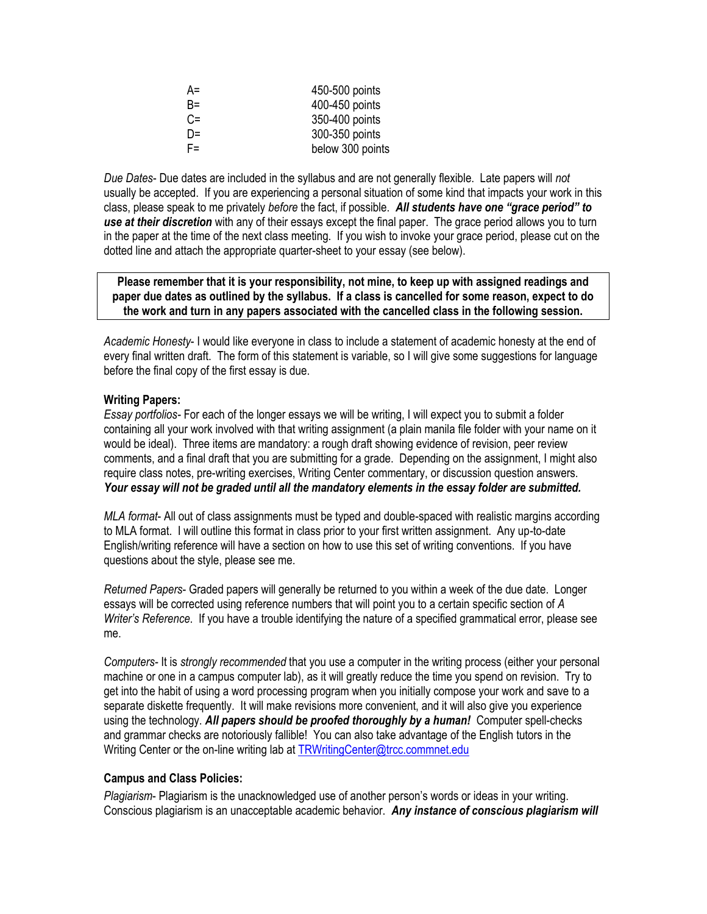| $A=$  | 450-500 points   |
|-------|------------------|
| $B =$ | 400-450 points   |
| $C =$ | 350-400 points   |
| D=    | 300-350 points   |
| F=.   | below 300 points |

*Due Dates*- Due dates are included in the syllabus and are not generally flexible. Late papers will *not* usually be accepted. If you are experiencing a personal situation of some kind that impacts your work in this class, please speak to me privately *before* the fact, if possible. *All students have one "grace period" to use at their discretion* with any of their essays except the final paper. The grace period allows you to turn in the paper at the time of the next class meeting. If you wish to invoke your grace period, please cut on the dotted line and attach the appropriate quarter-sheet to your essay (see below).

**Please remember that it is your responsibility, not mine, to keep up with assigned readings and paper due dates as outlined by the syllabus. If a class is cancelled for some reason, expect to do the work and turn in any papers associated with the cancelled class in the following session.**

*Academic Honesty*- I would like everyone in class to include a statement of academic honesty at the end of every final written draft. The form of this statement is variable, so I will give some suggestions for language before the final copy of the first essay is due.

# **Writing Papers:**

*Essay portfolios-* For each of the longer essays we will be writing, I will expect you to submit a folder containing all your work involved with that writing assignment (a plain manila file folder with your name on it would be ideal). Three items are mandatory: a rough draft showing evidence of revision, peer review comments, and a final draft that you are submitting for a grade. Depending on the assignment, I might also require class notes, pre-writing exercises, Writing Center commentary, or discussion question answers. *Your essay will not be graded until all the mandatory elements in the essay folder are submitted.*

*MLA format*- All out of class assignments must be typed and double-spaced with realistic margins according to MLA format. I will outline this format in class prior to your first written assignment. Any up-to-date English/writing reference will have a section on how to use this set of writing conventions. If you have questions about the style, please see me.

*Returned Papers*- Graded papers will generally be returned to you within a week of the due date. Longer essays will be corrected using reference numbers that will point you to a certain specific section of *A Writer's Reference*. If you have a trouble identifying the nature of a specified grammatical error, please see me.

*Computers-* It is *strongly recommended* that you use a computer in the writing process (either your personal machine or one in a campus computer lab), as it will greatly reduce the time you spend on revision. Try to get into the habit of using a word processing program when you initially compose your work and save to a separate diskette frequently. It will make revisions more convenient, and it will also give you experience using the technology. *All papers should be proofed thoroughly by a human!* Computer spell-checks and grammar checks are notoriously fallible! You can also take advantage of the English tutors in the Writing Center or the on-line writing lab at [TRWritingCenter@trcc.commnet.edu](mailto:TRWritingCenter@trcc.commnet.edu)

# **Campus and Class Policies:**

*Plagiarism*- Plagiarism is the unacknowledged use of another person's words or ideas in your writing. Conscious plagiarism is an unacceptable academic behavior. *Any instance of conscious plagiarism will*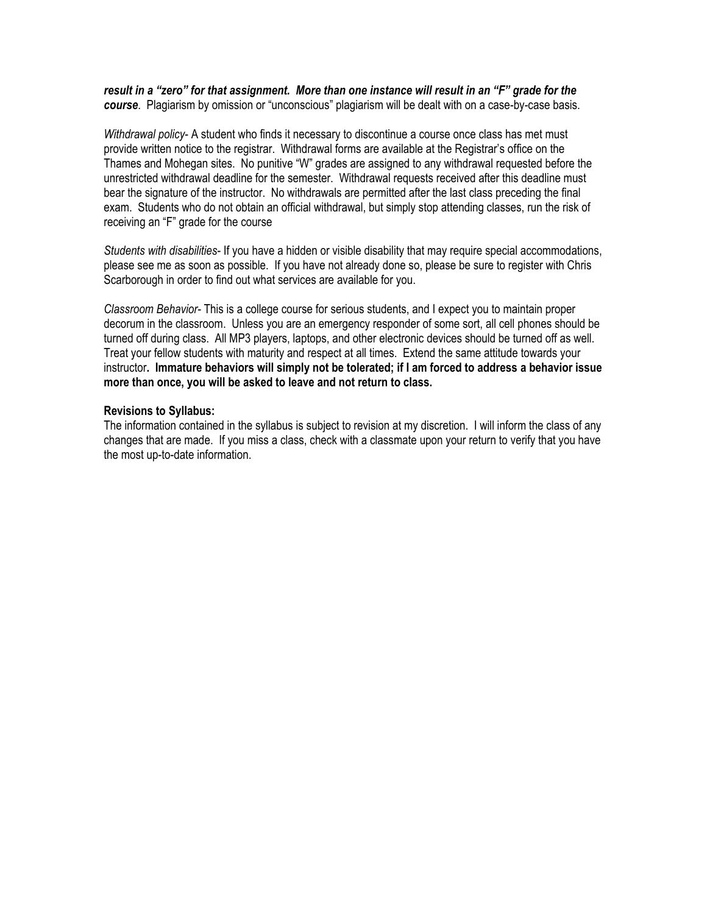### *result in a "zero" for that assignment. More than one instance will result in an "F" grade for the course*. Plagiarism by omission or "unconscious" plagiarism will be dealt with on a case-by-case basis.

*Withdrawal policy*- A student who finds it necessary to discontinue a course once class has met must provide written notice to the registrar. Withdrawal forms are available at the Registrar's office on the Thames and Mohegan sites. No punitive "W" grades are assigned to any withdrawal requested before the unrestricted withdrawal deadline for the semester. Withdrawal requests received after this deadline must bear the signature of the instructor. No withdrawals are permitted after the last class preceding the final exam. Students who do not obtain an official withdrawal, but simply stop attending classes, run the risk of receiving an "F" grade for the course

*Students with disabilities*- If you have a hidden or visible disability that may require special accommodations, please see me as soon as possible. If you have not already done so, please be sure to register with Chris Scarborough in order to find out what services are available for you.

*Classroom Behavior-* This is a college course for serious students, and I expect you to maintain proper decorum in the classroom. Unless you are an emergency responder of some sort, all cell phones should be turned off during class. All MP3 players, laptops, and other electronic devices should be turned off as well. Treat your fellow students with maturity and respect at all times. Extend the same attitude towards your instructor**. Immature behaviors will simply not be tolerated; if I am forced to address a behavior issue more than once, you will be asked to leave and not return to class.**

### **Revisions to Syllabus:**

The information contained in the syllabus is subject to revision at my discretion. I will inform the class of any changes that are made. If you miss a class, check with a classmate upon your return to verify that you have the most up-to-date information.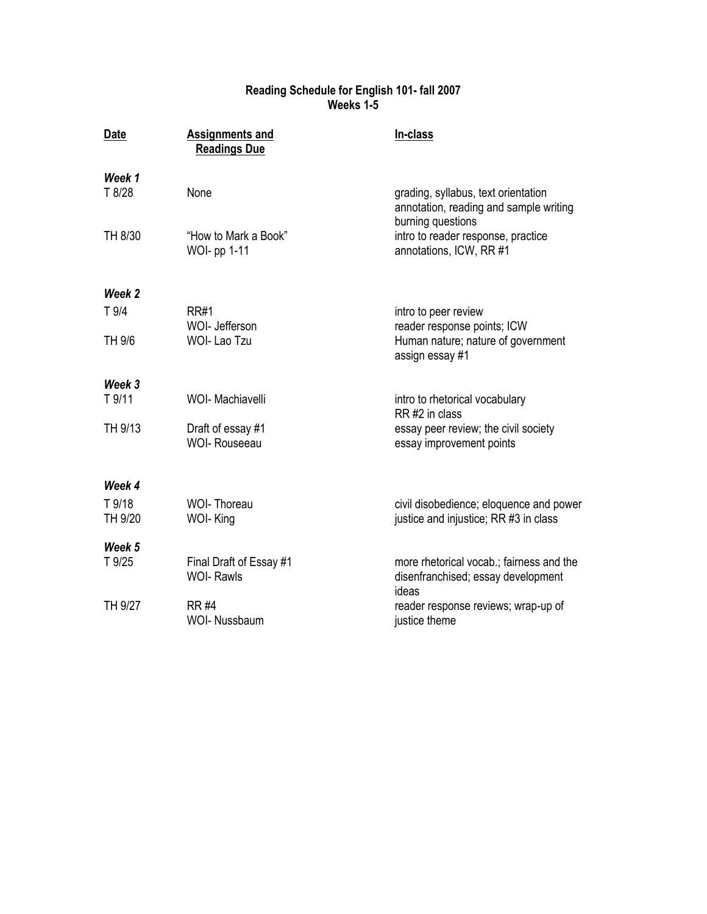# **Reading Schedule for English 101- fall 2007 Weeks 1-5**

| Date              | <b>Assignments and</b><br><b>Readings Due</b> | In-class                                                                                           |
|-------------------|-----------------------------------------------|----------------------------------------------------------------------------------------------------|
| Week 1<br>T 8/28  | None                                          | grading, syllabus, text orientation<br>annotation, reading and sample writing<br>burning questions |
| TH 8/30           | "How to Mark a Book"<br><b>WOI-pp 1-11</b>    | intro to reader response, practice<br>annotations, ICW, RR #1                                      |
| Week 2            |                                               |                                                                                                    |
| T <sub>9/4</sub>  | <b>RR#1</b><br>WOI- Jefferson                 | intro to peer review<br>reader response points; ICW                                                |
| TH 9/6            | <b>WOI-Lao Tzu</b>                            | Human nature; nature of government<br>assign essay #1                                              |
| Week 3            |                                               |                                                                                                    |
| T 9/11            | <b>WOI- Machiavelli</b>                       | intro to rhetorical vocabulary<br>RR#2 in class                                                    |
| TH 9/13           | Draft of essay #1<br><b>WOI- Rouseeau</b>     | essay peer review; the civil society<br>essay improvement points                                   |
| Week 4            |                                               |                                                                                                    |
| T 9/18<br>TH 9/20 | <b>WOI-Thoreau</b><br>WOI-King                | civil disobedience; eloquence and power<br>justice and injustice; RR #3 in class                   |
| Week 5            |                                               |                                                                                                    |
| T 9/25            | Final Draft of Essay #1<br><b>WOI- Rawls</b>  | more rhetorical vocab.; fairness and the<br>disenfranchised; essay development<br>ideas            |
| TH 9/27           | <b>RR#4</b><br><b>WOI- Nussbaum</b>           | reader response reviews; wrap-up of<br>justice theme                                               |